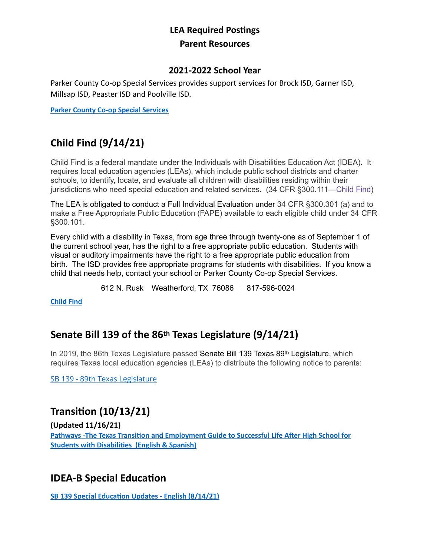### **LEA Required Postings Parent Resources**

#### **2021-2022 School Year**

Parker County Co-op Special Services provides support services for Brock ISD, Garner ISD, Millsap ISD, Peaster ISD and Poolville ISD.

**[Parker County Co-op Special Services](https://parkercountyco-op.net/)**

# **Child Find (9/14/21)**

Child Find is a federal mandate under the Individuals with Disabilities Education Act (IDEA). It requires local education agencies (LEAs), which include public school districts and charter schools, to identify, locate, and evaluate all children with disabilities residing within their jurisdictions who need special education and related services. (34 CFR §300.111—[Child Find](https://gov.ecfr.io/cgi-bin/text-idx?SID=3aefcee7b21b4c6ab1436836a75b310a&mc=true&node=se34.2.300_1111&rgn=div8))

The LEA is obligated to conduct a Full Individual Evaluation under 34 CFR §300.301 (a) and to make a Free Appropriate Public Education (FAPE) available to each eligible child under 34 CFR §300.101.

Every child with a disability in Texas, from age three through twenty-one as of September 1 of the current school year, has the right to a free appropriate public education. Students with visual or auditory impairments have the right to a free appropriate public education from birth. The ISD provides free appropriate programs for students with disabilities. If you know a child that needs help, contact your school or Parker County Co-op Special Services.

612 N. Rusk Weatherford, TX 76086 817-596-0024

**[Child Find](https://parkercountyco-op.net/child-find)**

### **Senate Bill 139 of the 86th Texas Legislature (9/14/21)**

In 2019, the 86th Texas Legislature passed Senate Bill 139 Texas 89th Legislature, which requires Texas local education agencies (LEAs) to distribute the following notice to parents:

[SB 139 - 89th Texas Legislature](https://tea.texas.gov/about-tea/news-and-multimedia/correspondence/taa-letters/senate-bill-139-notice-to-families)

## **Transition (10/13/21)**

**(Updated 11/16/21)**

**[Pathways -The Texas Transition and Employment Guide to Successful Life After High School for](https://4.files.edl.io/9dc3/10/06/21/153556-251ee074-5864-460e-989b-6e85602bf981.pdf)  [Students with Disabilities](https://4.files.edl.io/9dc3/10/06/21/153556-251ee074-5864-460e-989b-6e85602bf981.pdf) (English & Spanish)**

### **IDEA-B Special Education**

**[SB 139 Special Education Updates - English](https://tea.texas.gov/sites/default/files/Updates-on-Special-Education.pdf) (8/14/21)**